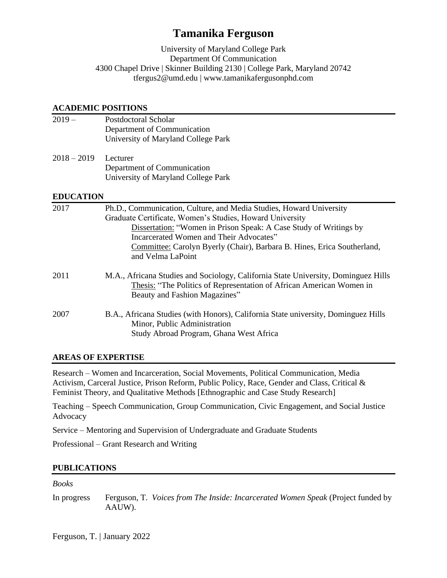# **Tamanika Ferguson**

University of Maryland College Park Department Of Communication 4300 Chapel Drive | Skinner Building 2130 | College Park, Maryland 20742 tfergus2@umd.edu | www.tamanikafergusonphd.com

#### **ACADEMIC POSITIONS**

2019 – Postdoctoral Scholar Department of Communication University of Maryland College Park 2018 – 2019 Lecturer Department of Communication University of Maryland College Park **EDUCATION** 2017 Ph.D., Communication, Culture, and Media Studies, Howard University Graduate Certificate, Women's Studies, Howard University Dissertation: "Women in Prison Speak: A Case Study of Writings by Incarcerated Women and Their Advocates" Committee: Carolyn Byerly (Chair), Barbara B. Hines, Erica Southerland, and Velma LaPoint 2011 M.A., Africana Studies and Sociology, California State University, Dominguez Hills Thesis: "The Politics of Representation of African American Women in Beauty and Fashion Magazines"

## 2007 B.A., Africana Studies (with Honors), California State university, Dominguez Hills Minor, Public Administration Study Abroad Program, Ghana West Africa

## **AREAS OF EXPERTISE**

Research – Women and Incarceration, Social Movements, Political Communication, Media Activism, Carceral Justice, Prison Reform, Public Policy, Race, Gender and Class, Critical & Feminist Theory, and Qualitative Methods [Ethnographic and Case Study Research]

Teaching – Speech Communication, Group Communication, Civic Engagement, and Social Justice Advocacy

Service – Mentoring and Supervision of Undergraduate and Graduate Students

Professional – Grant Research and Writing

### **PUBLICATIONS**

### *Books*

In progress Ferguson, T. *Voices from The Inside: Incarcerated Women Speak* (Project funded by AAUW).

Ferguson, T. | January 2022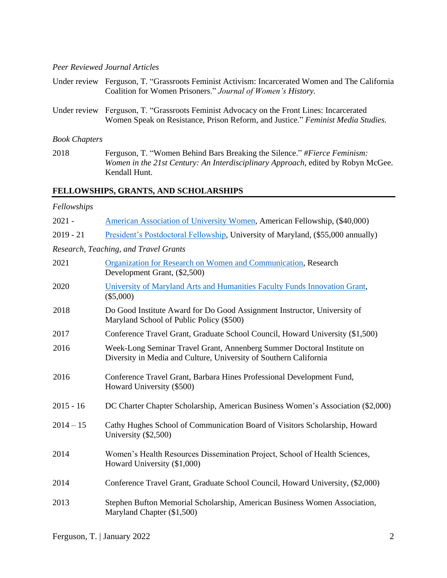#### *Peer Reviewed Journal Articles*

| Under review Ferguson, T. "Grassroots Feminist Activism: Incarcerated Women and The California |
|------------------------------------------------------------------------------------------------|
| Coalition for Women Prisoners." Journal of Women's History.                                    |
|                                                                                                |
| Under review Ferguson, T. "Grassroots Feminist Advocacy on the Front Lines: Incarcerated       |
|                                                                                                |
|                                                                                                |

#### *Book Chapters*

2018 Ferguson, T. "Women Behind Bars Breaking the Silence." *#Fierce Feminism: Women in the 21st Century: An Interdisciplinary Approach,* edited by Robyn McGee. Kendall Hunt.

## **FELLOWSHIPS, GRANTS, AND SCHOLARSHIPS**

#### *Fellowships*

| $2021 -$    | American Association of University Women, American Fellowship, (\$40,000)                                                                   |
|-------------|---------------------------------------------------------------------------------------------------------------------------------------------|
| $2019 - 21$ | President's Postdoctoral Fellowship, University of Maryland, (\$55,000 annually)                                                            |
|             | Research, Teaching, and Travel Grants                                                                                                       |
| 2021        | Organization for Research on Women and Communication, Research<br>Development Grant, (\$2,500)                                              |
| 2020        | University of Maryland Arts and Humanities Faculty Funds Innovation Grant,<br>$(\$5,000)$                                                   |
| 2018        | Do Good Institute Award for Do Good Assignment Instructor, University of<br>Maryland School of Public Policy (\$500)                        |
| 2017        | Conference Travel Grant, Graduate School Council, Howard University (\$1,500)                                                               |
| 2016        | Week-Long Seminar Travel Grant, Annenberg Summer Doctoral Institute on<br>Diversity in Media and Culture, University of Southern California |
| 2016        | Conference Travel Grant, Barbara Hines Professional Development Fund,<br>Howard University (\$500)                                          |
| $2015 - 16$ | DC Charter Chapter Scholarship, American Business Women's Association (\$2,000)                                                             |
| $2014 - 15$ | Cathy Hughes School of Communication Board of Visitors Scholarship, Howard<br>University (\$2,500)                                          |
| 2014        | Women's Health Resources Dissemination Project, School of Health Sciences,<br>Howard University (\$1,000)                                   |
| 2014        | Conference Travel Grant, Graduate School Council, Howard University, (\$2,000)                                                              |
| 2013        | Stephen Bufton Memorial Scholarship, American Business Women Association,<br>Maryland Chapter (\$1,500)                                     |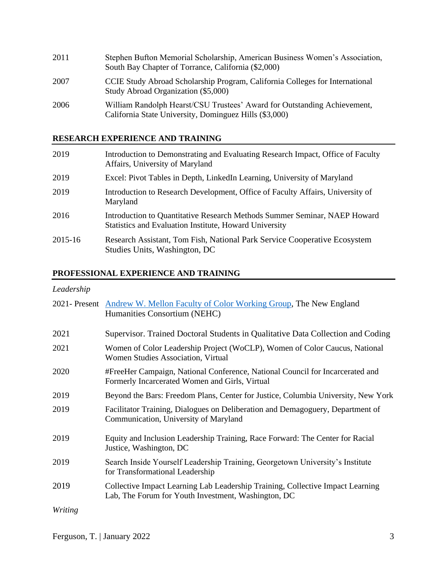| 2011 | Stephen Bufton Memorial Scholarship, American Business Women's Association,<br>South Bay Chapter of Torrance, California (\$2,000) |
|------|------------------------------------------------------------------------------------------------------------------------------------|
| 2007 | CCIE Study Abroad Scholarship Program, California Colleges for International<br>Study Abroad Organization (\$5,000)                |
| 2006 | William Randolph Hearst/CSU Trustees' Award for Outstanding Achievement,<br>California State University, Dominguez Hills (\$3,000) |

## **RESEARCH EXPERIENCE AND TRAINING**

| 2019    | Introduction to Demonstrating and Evaluating Research Impact, Office of Faculty<br>Affairs, University of Maryland                  |
|---------|-------------------------------------------------------------------------------------------------------------------------------------|
| 2019    | Excel: Pivot Tables in Depth, LinkedIn Learning, University of Maryland                                                             |
| 2019    | Introduction to Research Development, Office of Faculty Affairs, University of<br>Maryland                                          |
| 2016    | Introduction to Quantitative Research Methods Summer Seminar, NAEP Howard<br>Statistics and Evaluation Institute, Howard University |
| 2015-16 | Research Assistant, Tom Fish, National Park Service Cooperative Ecosystem<br>Studies Units, Washington, DC                          |

## **PROFESSIONAL EXPERIENCE AND TRAINING**

## *Leadership*

|         | 2021- Present Andrew W. Mellon Faculty of Color Working Group, The New England<br>Humanities Consortium (NEHC)                        |
|---------|---------------------------------------------------------------------------------------------------------------------------------------|
| 2021    | Supervisor. Trained Doctoral Students in Qualitative Data Collection and Coding                                                       |
| 2021    | Women of Color Leadership Project (WoCLP), Women of Color Caucus, National<br>Women Studies Association, Virtual                      |
| 2020    | #FreeHer Campaign, National Conference, National Council for Incarcerated and<br>Formerly Incarcerated Women and Girls, Virtual       |
| 2019    | Beyond the Bars: Freedom Plans, Center for Justice, Columbia University, New York                                                     |
| 2019    | Facilitator Training, Dialogues on Deliberation and Demagoguery, Department of<br>Communication, University of Maryland               |
| 2019    | Equity and Inclusion Leadership Training, Race Forward: The Center for Racial<br>Justice, Washington, DC                              |
| 2019    | Search Inside Yourself Leadership Training, Georgetown University's Institute<br>for Transformational Leadership                      |
| 2019    | Collective Impact Learning Lab Leadership Training, Collective Impact Learning<br>Lab, The Forum for Youth Investment, Washington, DC |
| Writing |                                                                                                                                       |

Ferguson, T. | January 2022 3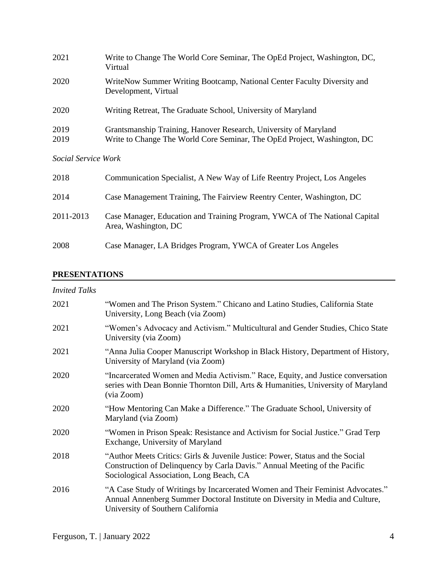| 2021                | Write to Change The World Core Seminar, The OpEd Project, Washington, DC,<br>Virtual                                                         |
|---------------------|----------------------------------------------------------------------------------------------------------------------------------------------|
| 2020                | WriteNow Summer Writing Bootcamp, National Center Faculty Diversity and<br>Development, Virtual                                              |
| 2020                | Writing Retreat, The Graduate School, University of Maryland                                                                                 |
| 2019<br>2019        | Grantsmanship Training, Hanover Research, University of Maryland<br>Write to Change The World Core Seminar, The OpEd Project, Washington, DC |
| Social Service Work |                                                                                                                                              |
| 2018                | Communication Specialist, A New Way of Life Reentry Project, Los Angeles                                                                     |
| 2014                | Case Management Training, The Fairview Reentry Center, Washington, DC                                                                        |
| 2011-2013           | Case Manager, Education and Training Program, YWCA of The National Capital<br>Area, Washington, DC                                           |
| 2008                | Case Manager, LA Bridges Program, YWCA of Greater Los Angeles                                                                                |

#### **PRESENTATIONS**

| <b>Invited Talks</b> |                                                                                                                                                                                                         |
|----------------------|---------------------------------------------------------------------------------------------------------------------------------------------------------------------------------------------------------|
| 2021                 | "Women and The Prison System." Chicano and Latino Studies, California State<br>University, Long Beach (via Zoom)                                                                                        |
| 2021                 | "Women's Advocacy and Activism." Multicultural and Gender Studies, Chico State<br>University (via Zoom)                                                                                                 |
| 2021                 | "Anna Julia Cooper Manuscript Workshop in Black History, Department of History,<br>University of Maryland (via Zoom)                                                                                    |
| 2020                 | "Incarcerated Women and Media Activism." Race, Equity, and Justice conversation<br>series with Dean Bonnie Thornton Dill, Arts & Humanities, University of Maryland<br>(via Zoom)                       |
| 2020                 | "How Mentoring Can Make a Difference." The Graduate School, University of<br>Maryland (via Zoom)                                                                                                        |
| 2020                 | "Women in Prison Speak: Resistance and Activism for Social Justice." Grad Terp<br>Exchange, University of Maryland                                                                                      |
| 2018                 | "Author Meets Critics: Girls & Juvenile Justice: Power, Status and the Social<br>Construction of Delinquency by Carla Davis." Annual Meeting of the Pacific<br>Sociological Association, Long Beach, CA |
| 2016                 | "A Case Study of Writings by Incarcerated Women and Their Feminist Advocates."<br>Annual Annenberg Summer Doctoral Institute on Diversity in Media and Culture,<br>University of Southern California    |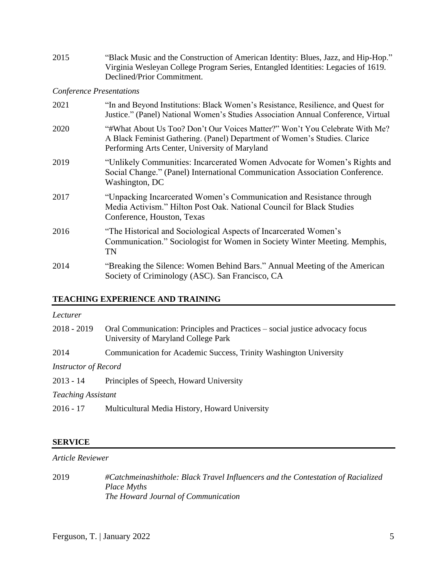| 2015 | "Black Music and the Construction of American Identity: Blues, Jazz, and Hip-Hop."<br>Virginia Wesleyan College Program Series, Entangled Identities: Legacies of 1619.<br>Declined/Prior Commitment.       |
|------|-------------------------------------------------------------------------------------------------------------------------------------------------------------------------------------------------------------|
|      | <b>Conference Presentations</b>                                                                                                                                                                             |
| 2021 | "In and Beyond Institutions: Black Women's Resistance, Resilience, and Quest for<br>Justice." (Panel) National Women's Studies Association Annual Conference, Virtual                                       |
| 2020 | "#What About Us Too? Don't Our Voices Matter?" Won't You Celebrate With Me?<br>A Black Feminist Gathering. (Panel) Department of Women's Studies. Clarice<br>Performing Arts Center, University of Maryland |
| 2019 | "Unlikely Communities: Incarcerated Women Advocate for Women's Rights and<br>Social Change." (Panel) International Communication Association Conference.<br>Washington, DC                                  |
| 2017 | "Unpacking Incarcerated Women's Communication and Resistance through<br>Media Activism." Hilton Post Oak. National Council for Black Studies<br>Conference, Houston, Texas                                  |
| 2016 | "The Historical and Sociological Aspects of Incarcerated Women's<br>Communication." Sociologist for Women in Society Winter Meeting. Memphis,<br>TN                                                         |
| 2014 | "Breaking the Silence: Women Behind Bars." Annual Meeting of the American<br>Society of Criminology (ASC). San Francisco, CA                                                                                |

## **TEACHING EXPERIENCE AND TRAINING**

| Lecturer                    |                                                                                                                     |
|-----------------------------|---------------------------------------------------------------------------------------------------------------------|
| $2018 - 2019$               | Oral Communication: Principles and Practices – social justice advocacy focus<br>University of Maryland College Park |
| 2014                        | Communication for Academic Success, Trinity Washington University                                                   |
| <b>Instructor of Record</b> |                                                                                                                     |
| $2013 - 14$                 | Principles of Speech, Howard University                                                                             |
| <b>Teaching Assistant</b>   |                                                                                                                     |
| $2016 - 17$                 | Multicultural Media History, Howard University                                                                      |

#### **SERVICE**

#### *Article Reviewer*

2019 *#Catchmeinashithole: Black Travel Influencers and the Contestation of Racialized Place Myths The Howard Journal of Communication*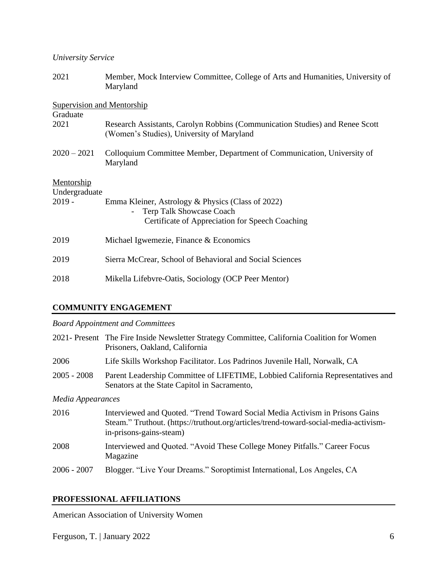#### *University Service*

| 2021                                          | Member, Mock Interview Committee, College of Arts and Humanities, University of<br>Maryland                                                               |
|-----------------------------------------------|-----------------------------------------------------------------------------------------------------------------------------------------------------------|
| <b>Supervision and Mentorship</b><br>Graduate |                                                                                                                                                           |
| 2021                                          | Research Assistants, Carolyn Robbins (Communication Studies) and Renee Scott<br>(Women's Studies), University of Maryland                                 |
| $2020 - 2021$                                 | Colloquium Committee Member, Department of Communication, University of<br>Maryland                                                                       |
| Mentorship<br>Undergraduate<br>$2019 -$       | Emma Kleiner, Astrology & Physics (Class of 2022)<br><b>Terp Talk Showcase Coach</b><br>$\blacksquare$<br>Certificate of Appreciation for Speech Coaching |
| 2019                                          | Michael Igwemezie, Finance & Economics                                                                                                                    |
| 2019                                          | Sierra McCrear, School of Behavioral and Social Sciences                                                                                                  |
| 2018                                          | Mikella Lifebvre-Oatis, Sociology (OCP Peer Mentor)                                                                                                       |

#### **COMMUNITY ENGAGEMENT**

#### *Board Appointment and Committees*

|                   | 2021- Present The Fire Inside Newsletter Strategy Committee, California Coalition for Women<br>Prisoners, Oakland, California                                                                   |
|-------------------|-------------------------------------------------------------------------------------------------------------------------------------------------------------------------------------------------|
| 2006              | Life Skills Workshop Facilitator. Los Padrinos Juvenile Hall, Norwalk, CA                                                                                                                       |
| $2005 - 2008$     | Parent Leadership Committee of LIFETIME, Lobbied California Representatives and<br>Senators at the State Capitol in Sacramento,                                                                 |
| Media Appearances |                                                                                                                                                                                                 |
| 2016              | Interviewed and Quoted. "Trend Toward Social Media Activism in Prisons Gains<br>Steam." Truthout. (https://truthout.org/articles/trend-toward-social-media-activism-<br>in-prisons-gains-steam) |
| 2008              | Interviewed and Quoted. "Avoid These College Money Pitfalls." Career Focus<br>Magazine                                                                                                          |

2006 - 2007 Blogger. "Live Your Dreams." Soroptimist International, Los Angeles, CA

## **PROFESSIONAL AFFILIATIONS**

American Association of University Women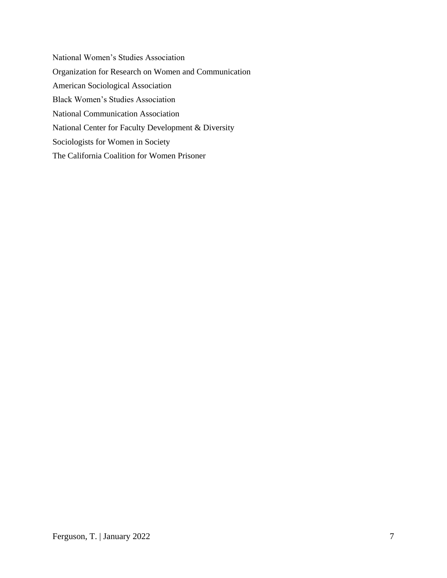National Women's Studies Association [Organization for Research on Women and Communication](http://www.orwac.org/aws/ORWAC/pt/sp/grants_recipients) American Sociological Association Black Women's Studies Association National Communication Association National Center for Faculty Development & Diversity Sociologists for Women in Society The California Coalition for Women Prisoner